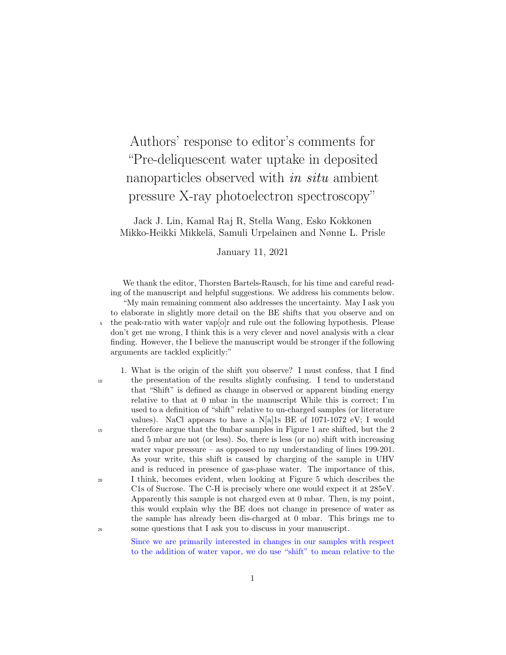Authors' response to editor's comments for "Pre-deliquescent water uptake in deposited nanoparticles observed with *in situ* ambient pressure X-ray photoelectron spectroscopy"

Jack J. Lin, Kamal Raj R, Stella Wang, Esko Kokkonen Mikko-Heikki Mikkelä, Samuli Urpelainen and Nønne L. Prisle

January 11, 2021

We thank the editor, Thorsten Bartels-Rausch, for his time and careful reading of the manuscript and helpful suggestions. We address his comments below. "My main remaining comment also addresses the uncertainty. May I ask you to elaborate in slightly more detail on the BE shifts that you observe and on <sup>5</sup> the peak-ratio with water vap[o]r and rule out the following hypothesis. Please don't get me wrong, I think this is a very clever and novel analysis with a clear finding. However, the I believe the manuscript would be stronger if the following arguments are tackled explicitly:"

1. What is the origin of the shift you observe? I must confess, that I find <sup>10</sup> the presentation of the results slightly confusing. I tend to understand that "Shift" is defined as change in observed or apparent binding energy relative to that at 0 mbar in the manuscript While this is correct; I'm used to a definition of "shift" relative to un-charged samples (or literature values). NaCl appears to have a N[a]1s BE of 1071-1072 eV; I would <sup>15</sup> therefore argue that the 0mbar samples in Figure 1 are shifted, but the 2 and 5 mbar are not (or less). So, there is less (or no) shift with increasing water vapor pressure – as opposed to my understanding of lines 199-201. As your write, this shift is caused by charging of the sample in UHV and is reduced in presence of gas-phase water. The importance of this, <sup>20</sup> I think, becomes evident, when looking at Figure 5 which describes the C1s of Sucrose. The C-H is precisely where one would expect it at 285eV. Apparently this sample is not charged even at 0 mbar. Then, is my point, this would explain why the BE does not change in presence of water as the sample has already been dis-charged at 0 mbar. This brings me to <sup>25</sup> some questions that I ask you to discuss in your manuscript.

> Since we are primarily interested in changes in our samples with respect to the addition of water vapor, we do use "shift" to mean relative to the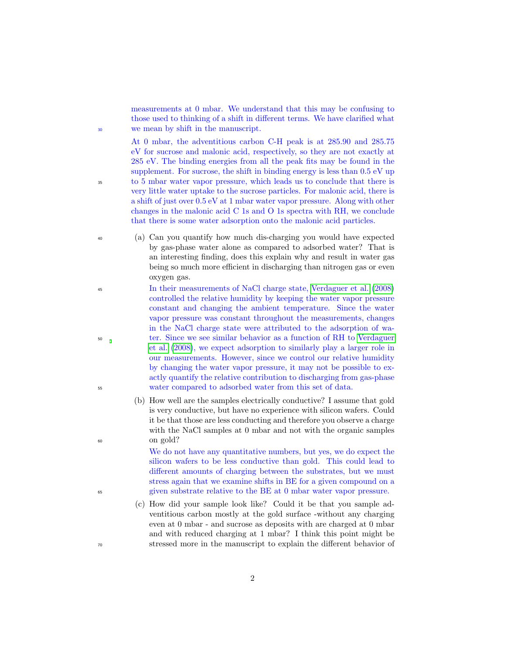measurements at 0 mbar. We understand that this may be confusing to those used to thinking of a shift in different terms. We have clarified what <sup>30</sup> we mean by shift in the manuscript.

At 0 mbar, the adventitious carbon C-H peak is at 285.90 and 285.75 eV for sucrose and malonic acid, respectively, so they are not exactly at 285 eV. The binding energies from all the peak fits may be found in the supplement. For sucrose, the shift in binding energy is less than 0.5 eV up <sup>35</sup> to 5 mbar water vapor pressure, which leads us to conclude that there is very little water uptake to the sucrose particles. For malonic acid, there is a shift of just over 0.5 eV at 1 mbar water vapor pressure. Along with other changes in the malonic acid C 1s and O 1s spectra with RH, we conclude that there is some water adsorption onto the malonic acid particles.

- <sup>40</sup> (a) Can you quantify how much dis-charging you would have expected by gas-phase water alone as compared to adsorbed water? That is an interesting finding, does this explain why and result in water gas being so much more efficient in discharging than nitrogen gas or even oxygen gas.
- <sup>45</sup> In their measurements of NaCl charge state, [Verdaguer et al.](#page-5-0) [\(2008\)](#page-5-0) controlled the relative humidity by keeping the water vapor pressure constant and changing the ambient temperature. Since the water vapor pressure was constant throughout the measurements, changes in the NaCl charge state were attributed to the adsorption of wa-<sup>50</sup> ter. Since we see similar behavior as a function of RH to [Verdaguer](#page-5-0) [et al.](#page-5-0) [\(2008\)](#page-5-0), we expect adsorption to similarly play a larger role in our measurements. However, since we control our relative humidity by changing the water vapor pressure, it may not be possible to exactly quantify the relative contribution to discharging from gas-phase <sup>55</sup> water compared to adsorbed water from this set of data.
- (b) How well are the samples electrically conductive? I assume that gold is very conductive, but have no experience with silicon wafers. Could it be that those are less conducting and therefore you observe a charge with the NaCl samples at 0 mbar and not with the organic samples <sup>60</sup> on gold?

We do not have any quantitative numbers, but yes, we do expect the silicon wafers to be less conductive than gold. This could lead to different amounts of charging between the substrates, but we must stress again that we examine shifts in BE for a given compound on a <sup>65</sup> given substrate relative to the BE at 0 mbar water vapor pressure.

(c) How did your sample look like? Could it be that you sample adventitious carbon mostly at the gold surface -without any charging even at 0 mbar - and sucrose as deposits with are charged at 0 mbar and with reduced charging at 1 mbar? I think this point might be <sup>70</sup> stressed more in the manuscript to explain the different behavior of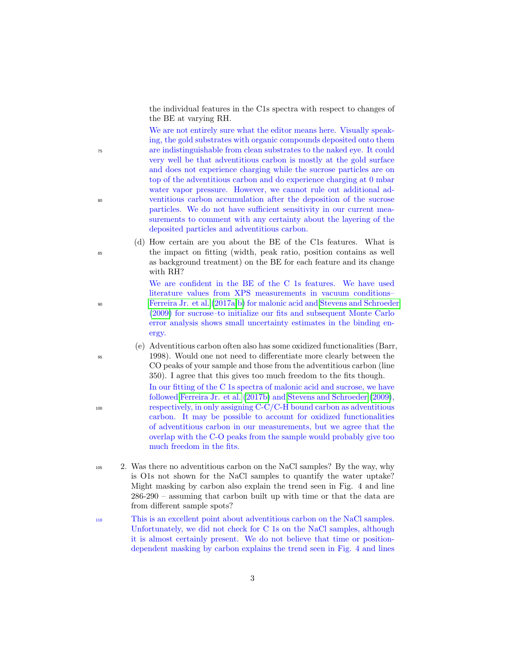the individual features in the C1s spectra with respect to changes of the BE at varying RH.

We are not entirely sure what the editor means here. Visually speaking, the gold substrates with organic compounds deposited onto them <sup>75</sup> are indistinguishable from clean substrates to the naked eye. It could very well be that adventitious carbon is mostly at the gold surface and does not experience charging while the sucrose particles are on top of the adventitious carbon and do experience charging at 0 mbar water vapor pressure. However, we cannot rule out additional ad-<sup>80</sup> ventitious carbon accumulation after the deposition of the sucrose particles. We do not have sufficient sensitivity in our current measurements to comment with any certainty about the layering of the deposited particles and adventitious carbon.

(d) How certain are you about the BE of the C1s features. What is <sup>85</sup> the impact on fitting (width, peak ratio, position contains as well as background treatment) on the BE for each feature and its change with RH?

We are confident in the BE of the C 1s features. We have used literature values from XPS measurements in vacuum conditions– <sup>90</sup> [Ferreira Jr. et al.](#page-5-1) [\(2017a,](#page-5-1)[b\)](#page-5-2) for malonic acid and [Stevens and Schroeder](#page-5-3) [\(2009\)](#page-5-3) for sucrose–to initialize our fits and subsequent Monte Carlo error analysis shows small uncertainty estimates in the binding energy.

(e) Adventitious carbon often also has some oxidized functionalities (Barr, <sup>95</sup> 1998). Would one not need to differentiate more clearly between the CO peaks of your sample and those from the adventitious carbon (line 350). I agree that this gives too much freedom to the fits though.

In our fitting of the C 1s spectra of malonic acid and sucrose, we have followed [Ferreira Jr. et al.](#page-5-2) [\(2017b\)](#page-5-2) and [Stevens and Schroeder](#page-5-3) [\(2009\)](#page-5-3), <sup>100</sup> respectively, in only assigning C-C/C-H bound carbon as adventitious carbon. It may be possible to account for oxidized functionalities of adventitious carbon in our measurements, but we agree that the overlap with the C-O peaks from the sample would probably give too much freedom in the fits.

- <sup>105</sup> 2. Was there no adventitious carbon on the NaCl samples? By the way, why is O1s not shown for the NaCl samples to quantify the water uptake? Might masking by carbon also explain the trend seen in Fig. 4 and line 286-290 – assuming that carbon built up with time or that the data are from different sample spots?
- <sup>110</sup> This is an excellent point about adventitious carbon on the NaCl samples. Unfortunately, we did not check for C 1s on the NaCl samples, although it is almost certainly present. We do not believe that time or positiondependent masking by carbon explains the trend seen in Fig. 4 and lines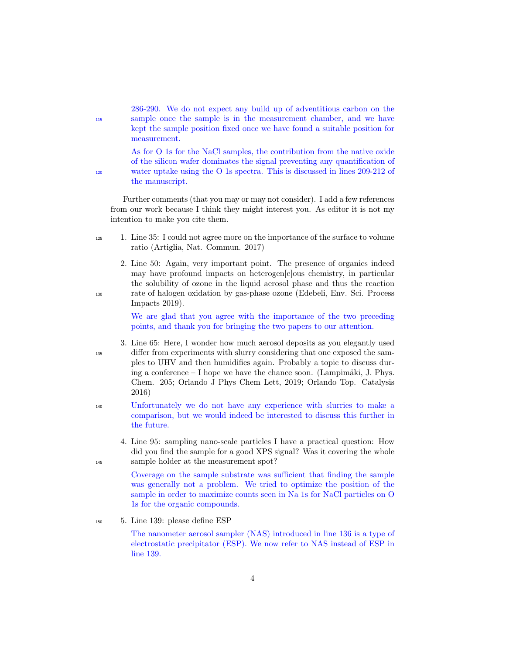|     | 286-290. We do not expect any build up of adventitious carbon on the      |
|-----|---------------------------------------------------------------------------|
| 115 | sample once the sample is in the measurement chamber, and we have         |
|     | kept the sample position fixed once we have found a suitable position for |
|     | measurement.                                                              |

As for O 1s for the NaCl samples, the contribution from the native oxide of the silicon wafer dominates the signal preventing any quantification of <sup>120</sup> water uptake using the O 1s spectra. This is discussed in lines 209-212 of the manuscript.

Further comments (that you may or may not consider). I add a few references from our work because I think they might interest you. As editor it is not my intention to make you cite them.

- <sup>125</sup> 1. Line 35: I could not agree more on the importance of the surface to volume ratio (Artiglia, Nat. Commun. 2017)
- 2. Line 50: Again, very important point. The presence of organics indeed may have profound impacts on heterogen[e]ous chemistry, in particular the solubility of ozone in the liquid aerosol phase and thus the reaction <sup>130</sup> rate of halogen oxidation by gas-phase ozone (Edebeli, Env. Sci. Process Impacts 2019).

We are glad that you agree with the importance of the two preceding points, and thank you for bringing the two papers to our attention.

- 3. Line 65: Here, I wonder how much aerosol deposits as you elegantly used <sup>135</sup> differ from experiments with slurry considering that one exposed the samples to UHV and then humidifies again. Probably a topic to discuss during a conference  $-1$  hope we have the chance soon. (Lampimäki, J. Phys. Chem. 205; Orlando J Phys Chem Lett, 2019; Orlando Top. Catalysis 2016)
- <sup>140</sup> Unfortunately we do not have any experience with slurries to make a comparison, but we would indeed be interested to discuss this further in the future.
- 4. Line 95: sampling nano-scale particles I have a practical question: How did you find the sample for a good XPS signal? Was it covering the whole <sup>145</sup> sample holder at the measurement spot?

Coverage on the sample substrate was sufficient that finding the sample was generally not a problem. We tried to optimize the position of the sample in order to maximize counts seen in Na 1s for NaCl particles on O 1s for the organic compounds.

<sup>150</sup> 5. Line 139: please define ESP

The nanometer aerosol sampler (NAS) introduced in line 136 is a type of electrostatic precipitator (ESP). We now refer to NAS instead of ESP in line 139.

4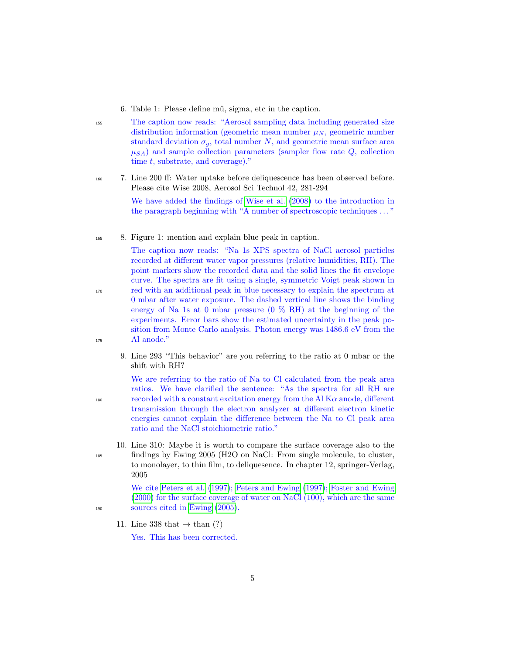- 6. Table 1: Please define mü, sigma, etc in the caption.
- <sup>155</sup> The caption now reads: "Aerosol sampling data including generated size distribution information (geometric mean number  $\mu_N$ , geometric number standard deviation  $\sigma_q$ , total number N, and geometric mean surface area  $\mu_{SA}$ ) and sample collection parameters (sampler flow rate Q, collection time t, substrate, and coverage)."
- <sup>160</sup> 7. Line 200 ff: Water uptake before deliquescence has been observed before. Please cite Wise 2008, Aerosol Sci Technol 42, 281-294

We have added the findings of [Wise et al.](#page-5-4) [\(2008\)](#page-5-4) to the introduction in the paragraph beginning with "A number of spectroscopic techniques . . . "

<sup>165</sup> 8. Figure 1: mention and explain blue peak in caption.

The caption now reads: "Na 1s XPS spectra of NaCl aerosol particles recorded at different water vapor pressures (relative humidities, RH). The point markers show the recorded data and the solid lines the fit envelope curve. The spectra are fit using a single, symmetric Voigt peak shown in <sup>170</sup> red with an additional peak in blue necessary to explain the spectrum at 0 mbar after water exposure. The dashed vertical line shows the binding energy of Na 1s at 0 mbar pressure  $(0\%$  RH) at the beginning of the experiments. Error bars show the estimated uncertainty in the peak position from Monte Carlo analysis. Photon energy was 1486.6 eV from the <sup>175</sup> Al anode."

9. Line 293 "This behavior" are you referring to the ratio at 0 mbar or the shift with RH?

We are referring to the ratio of Na to Cl calculated from the peak area ratios. We have clarified the sentence: "As the spectra for all RH are  $180$  recorded with a constant excitation energy from the Al K $\alpha$  anode, different transmission through the electron analyzer at different electron kinetic energies cannot explain the difference between the Na to Cl peak area ratio and the NaCl stoichiometric ratio."

10. Line 310: Maybe it is worth to compare the surface coverage also to the <sup>185</sup> findings by Ewing 2005 (H2O on NaCl: From single molecule, to cluster, to monolayer, to thin film, to deliquesence. In chapter 12, springer-Verlag, 2005

We cite [Peters et al.](#page-5-5) [\(1997\)](#page-5-5); [Peters and Ewing](#page-5-6) [\(1997\)](#page-5-6); [Foster and Ewing](#page-5-7) [\(2000\)](#page-5-7) for the surface coverage of water on NaCl (100), which are the same <sup>190</sup> sources cited in [Ewing](#page-5-8) [\(2005\)](#page-5-8).

11. Line 338 that  $\rightarrow$  than (?)

Yes. This has been corrected.